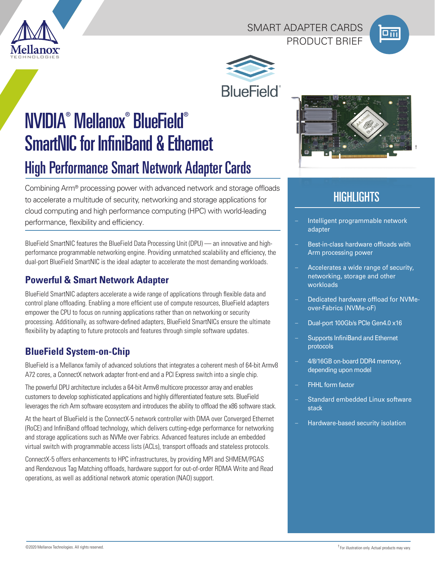

### SMART ADAPTER CARDS PRODUCT BRIFF





NVIDIA® Mellanox® BlueField® SmartNIC for InfiniBand & Ethernet High Performance Smart Network Adapter Cards

Combining Arm® processing power with advanced network and storage offloads to accelerate a multitude of security, networking and storage applications for cloud computing and high performance computing (HPC) with world-leading performance, flexibility and efficiency. The example of the state of the ligent programmable network

BlueField SmartNIC features the BlueField Data Processing Unit (DPU) — an innovative and highperformance programmable networking engine. Providing unmatched scalability and efficiency, the dual-port BlueField SmartNIC is the ideal adapter to accelerate the most demanding workloads.

## **Powerful & Smart Network Adapter**

BlueField SmartNIC adapters accelerate a wide range of applications through flexible data and control plane offloading. Enabling a more efficient use of compute resources, BlueField adapters empower the CPU to focus on running applications rather than on networking or security processing. Additionally, as software-defined adapters, BlueField SmartNICs ensure the ultimate flexibility by adapting to future protocols and features through simple software updates.

# **BlueField System-on-Chip**

BlueField is a Mellanox family of advanced solutions that integrates a coherent mesh of 64-bit Armv8 A72 cores, a ConnectX network adapter front-end and a PCI Express switch into a single chip.

The powerful DPU architecture includes a 64-bit Armv8 multicore processor array and enables customers to develop sophisticated applications and highly differentiated feature sets. BlueField leverages the rich Arm software ecosystem and introduces the ability to offload the x86 software stack.

At the heart of BlueField is the ConnectX-5 network controller with DMA over Converged Ethernet (RoCE) and InfiniBand offload technology, which delivers cutting-edge performance for networking and storage applications such as NVMe over Fabrics. Advanced features include an embedded virtual switch with programmable access lists (ACLs), transport offloads and stateless protocols.

ConnectX-5 offers enhancements to HPC infrastructures, by providing MPI and SHMEM/PGAS and Rendezvous Tag Matching offloads, hardware support for out-of-order RDMA Write and Read operations, as well as additional network atomic operation (NAO) support.



# **HIGHLIGHTS**

- adapter
- Best-in-class hardware offloads with Arm processing power
- Accelerates a wide range of security, networking, storage and other workloads
- Dedicated hardware offload for NVMeover-Fabrics (NVMe-oF)
- Dual-port 100Gb/s PCIe Gen4.0 x16
- Supports InfiniBand and Ethernet protocols
- 4/8/16GB on-board DDR4 memory, depending upon model
- FHHL form factor
- Standard embedded Linux software stack
- Hardware-based security isolation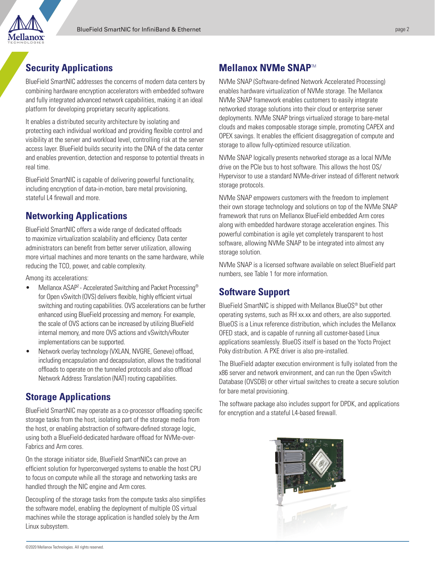

### **Security Applications**

BlueField SmartNIC addresses the concerns of modern data centers by combining hardware encryption accelerators with embedded software and fully integrated advanced network capabilities, making it an ideal platform for developing proprietary security applications.

It enables a distributed security architecture by isolating and protecting each individual workload and providing flexible control and visibility at the server and workload level, controlling risk at the server access layer. BlueField builds security into the DNA of the data center and enables prevention, detection and response to potential threats in real time.

BlueField SmartNIC is capable of delivering powerful functionality, including encryption of data-in-motion, bare metal provisioning, stateful L4 firewall and more.

### **Networking Applications**

BlueField SmartNIC offers a wide range of dedicated offloads to maximize virtualization scalability and efficiency. Data center administrators can benefit from better server utilization, allowing more virtual machines and more tenants on the same hardware, while reducing the TCO, power, and cable complexity.

Among its accelerations:

- Mellanox ASAP<sup>2</sup> Accelerated Switching and Packet Processing<sup>®</sup> for Open vSwitch (OVS) delivers flexible, highly efficient virtual switching and routing capabilities. OVS accelerations can be further enhanced using BlueField processing and memory. For example, the scale of OVS actions can be increased by utilizing BlueField internal memory, and more OVS actions and vSwitch/vRouter implementations can be supported.
- Network overlay technology (VXLAN, NVGRE, Geneve) offload, including encapsulation and decapsulation, allows the traditional offloads to operate on the tunneled protocols and also offload Network Address Translation (NAT) routing capabilities.

### **Storage Applications**

BlueField SmartNIC may operate as a co-processor offloading specific storage tasks from the host, isolating part of the storage media from the host, or enabling abstraction of software-defined storage logic, using both a BlueField-dedicated hardware offload for NVMe-over-Fabrics and Arm cores.

On the storage initiator side, BlueField SmartNICs can prove an efficient solution for hyperconverged systems to enable the host CPU to focus on compute while all the storage and networking tasks are handled through the NIC engine and Arm cores.

Decoupling of the storage tasks from the compute tasks also simplifies the software model, enabling the deployment of multiple OS virtual machines while the storage application is handled solely by the Arm Linux subsystem.

### **Mellanox NVMe SNAP**TM

NVMe SNAP (Software-defined Network Accelerated Processing) enables hardware virtualization of NVMe storage. The Mellanox NVMe SNAP framework enables customers to easily integrate networked storage solutions into their cloud or enterprise server deployments. NVMe SNAP brings virtualized storage to bare-metal clouds and makes composable storage simple, promoting CAPEX and OPEX savings. It enables the efficient disaggregation of compute and storage to allow fully-optimized resource utilization.

NVMe SNAP logically presents networked storage as a local NVMe drive on the PCIe bus to host software. This allows the host OS/ Hypervisor to use a standard NVMe-driver instead of different network storage protocols.

NVMe SNAP empowers customers with the freedom to implement their own storage technology and solutions on top of the NVMe SNAP framework that runs on Mellanox BlueField embedded Arm cores along with embedded hardware storage acceleration engines. This powerful combination is agile yet completely transparent to host software, allowing NVMe SNAP to be integrated into almost any storage solution.

NVMe SNAP is a licensed software available on select BlueField part numbers, see Table 1 for more information.

### **Software Support**

BlueField SmartNIC is shipped with Mellanox BlueOS® but other operating systems, such as RH xx.xx and others, are also supported. BlueOS is a Linux reference distribution, which includes the Mellanox OFED stack, and is capable of running all customer-based Linux applications seamlessly. BlueOS itself is based on the Yocto Project Poky distribution. A PXE driver is also pre-installed.

The BlueField adapter execution environment is fully isolated from the x86 server and network environment, and can run the Open vSwitch Database (OVSDB) or other virtual switches to create a secure solution for bare metal provisioning.

The software package also includes support for DPDK, and applications for encryption and a stateful L4-based firewall.